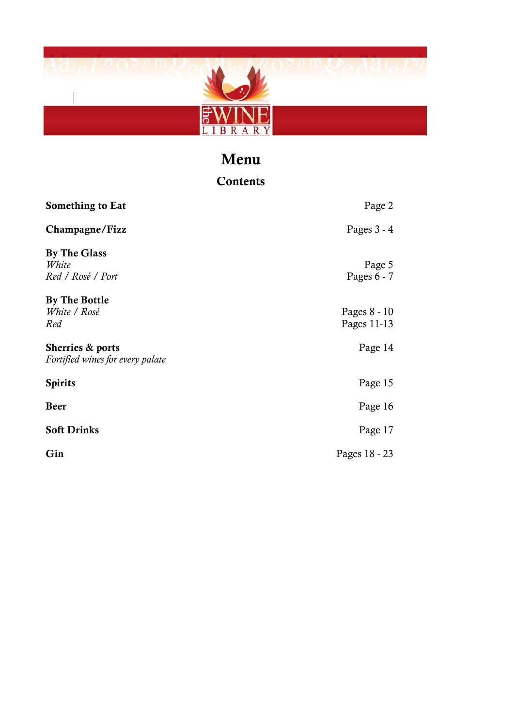

## Menu

| Contents                                             |                             |  |
|------------------------------------------------------|-----------------------------|--|
| Something to Eat                                     | Page 2                      |  |
| Champagne/Fizz                                       | Pages $3 - 4$               |  |
| By The Glass<br>White<br>Red / Rosé / Port           | Page 5<br>Pages $6 - 7$     |  |
| By The Bottle<br>White / Rosé<br>Red                 | Pages 8 - 10<br>Pages 11-13 |  |
| Sherries & ports<br>Fortified wines for every palate | Page 14                     |  |
| <b>Spirits</b>                                       | Page 15                     |  |
| <b>Beer</b>                                          | Page 16                     |  |
| <b>Soft Drinks</b>                                   | Page 17                     |  |
| Gin                                                  | Pages 18 - 23               |  |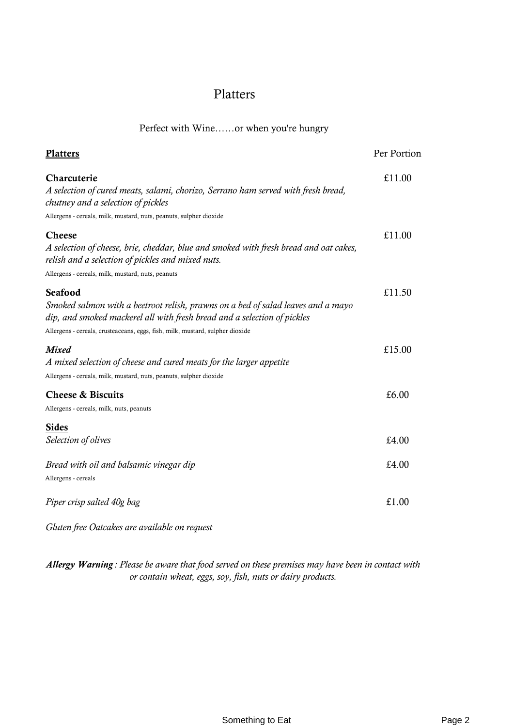#### Platters

Perfect with Wine……or when you're hungry

| <b>Platters</b>                                                                                                                                                                                                                                          | Per Portion |
|----------------------------------------------------------------------------------------------------------------------------------------------------------------------------------------------------------------------------------------------------------|-------------|
| Charcuterie<br>A selection of cured meats, salami, chorizo, Serrano ham served with fresh bread,<br>chutney and a selection of pickles<br>Allergens - cereals, milk, mustard, nuts, peanuts, sulpher dioxide                                             | £11.00      |
| <b>Cheese</b><br>A selection of cheese, brie, cheddar, blue and smoked with fresh bread and oat cakes,<br>relish and a selection of pickles and mixed nuts.<br>Allergens - cereals, milk, mustard, nuts, peanuts                                         | £11.00      |
| Seafood<br>Smoked salmon with a beetroot relish, prawns on a bed of salad leaves and a mayo<br>dip, and smoked mackerel all with fresh bread and a selection of pickles<br>Allergens - cereals, crusteaceans, eggs, fish, milk, mustard, sulpher dioxide | £11.50      |
| <b>Mixed</b><br>A mixed selection of cheese and cured meats for the larger appetite<br>Allergens - cereals, milk, mustard, nuts, peanuts, sulpher dioxide                                                                                                | £15.00      |
| <b>Cheese &amp; Biscuits</b><br>Allergens - cereals, milk, nuts, peanuts                                                                                                                                                                                 | £6.00       |
| <b>Sides</b><br>Selection of olives                                                                                                                                                                                                                      | £4.00       |
| Bread with oil and balsamic vinegar dip<br>Allergens - cereals                                                                                                                                                                                           | £4.00       |
| Piper crisp salted 40g bag                                                                                                                                                                                                                               | £1.00       |

*Gluten free Oatcakes are available on request*

*Allergy Warning : Please be aware that food served on these premises may have been in contact with or contain wheat, eggs, soy, fish, nuts or dairy products.*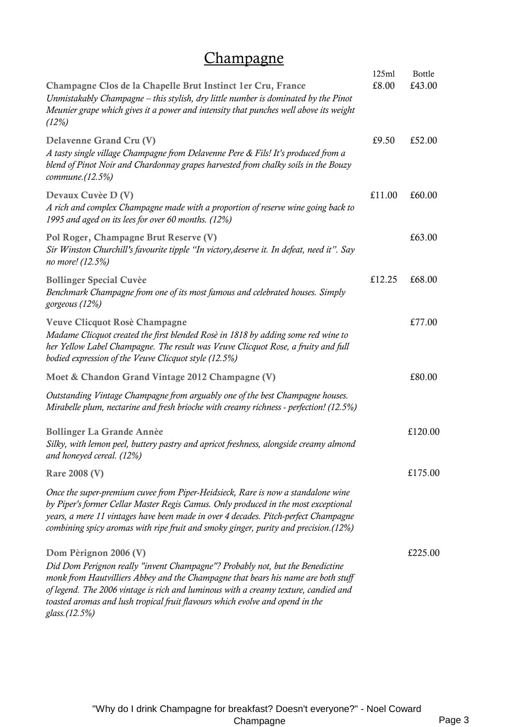## **Champagne**

|                                                                                                                                                                                                                                                                                                                                                                                      | 125ml  | Bottle  |
|--------------------------------------------------------------------------------------------------------------------------------------------------------------------------------------------------------------------------------------------------------------------------------------------------------------------------------------------------------------------------------------|--------|---------|
| Champagne Clos de la Chapelle Brut Instinct 1er Cru, France<br>Unmistakably Champagne – this stylish, dry little number is dominated by the Pinot<br>Meunier grape which gives it a power and intensity that punches well above its weight<br>(12%)                                                                                                                                  | £8.00  | £43.00  |
| Delavenne Grand Cru (V)<br>A tasty single village Champagne from Delavenne Pere & Fils! It's produced from a<br>blend of Pinot Noir and Chardonnay grapes harvested from chalky soils in the Bouzy<br>commune.(12.5%)                                                                                                                                                                | £9.50  | £52.00  |
| Devaux Cuvèe D (V)<br>A rich and complex Champagne made with a proportion of reserve wine going back to<br>1995 and aged on its lees for over 60 months. (12%)                                                                                                                                                                                                                       | £11.00 | £60.00  |
| Pol Roger, Champagne Brut Reserve (V)<br>Sir Winston Churchill's favourite tipple "In victory, deserve it. In defeat, need it". Say<br>no more! (12.5%)                                                                                                                                                                                                                              |        | £63.00  |
| <b>Bollinger Special Cuvèe</b><br>Benchmark Champagne from one of its most famous and celebrated houses. Simply<br>gorgeous (12%)                                                                                                                                                                                                                                                    | £12.25 | £68.00  |
| Veuve Clicquot Rosè Champagne<br>Madame Clicquot created the first blended Rosè in 1818 by adding some red wine to<br>her Yellow Label Champagne. The result was Veuve Clicquot Rose, a fruity and full<br>bodied expression of the Veuve Clicquot style (12.5%)                                                                                                                     |        | £77.00  |
| Moet & Chandon Grand Vintage 2012 Champagne (V)                                                                                                                                                                                                                                                                                                                                      |        | £80.00  |
| Outstanding Vintage Champagne from arguably one of the best Champagne houses.<br>Mirabelle plum, nectarine and fresh brioche with creamy richness - perfection! (12.5%)                                                                                                                                                                                                              |        |         |
| <b>Bollinger La Grande Annèe</b><br>Silky, with lemon peel, buttery pastry and apricot freshness, alongside creamy almond<br>and honeyed cereal. (12%)                                                                                                                                                                                                                               |        | £120.00 |
| <b>Rare 2008 (V)</b>                                                                                                                                                                                                                                                                                                                                                                 |        | £175.00 |
| Once the super-premium cuvee from Piper-Heidsieck, Rare is now a standalone wine<br>by Piper's former Cellar Master Regis Camus. Only produced in the most exceptional<br>years, a mere 11 vintages have been made in over 4 decades. Pitch-perfect Champagne<br>combining spicy aromas with ripe fruit and smoky ginger, purity and precision.(12%)                                 |        |         |
| Dom Pèrignon 2006 (V)<br>Did Dom Perignon really "invent Champagne"? Probably not, but the Benedictine<br>monk from Hautvilliers Abbey and the Champagne that bears his name are both stuff<br>of legend. The 2006 vintage is rich and luminous with a creamy texture, candied and<br>toasted aromas and lush tropical fruit flavours which evolve and opend in the<br>glass.(12.5%) |        | £225.00 |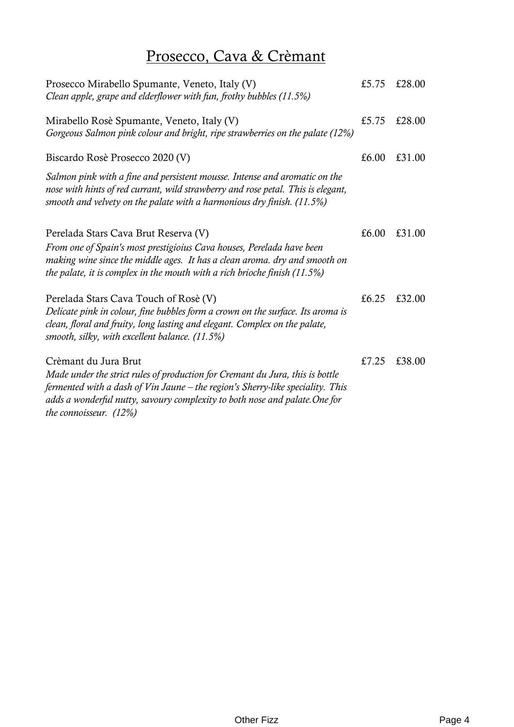# Prosecco, Cava & Crèmant

| Prosecco Mirabello Spumante, Veneto, Italy (V)<br>Clean apple, grape and elderflower with fun, frothy bubbles (11.5%)                                                                                                                                                                              | £5.75 | £28.00 |
|----------------------------------------------------------------------------------------------------------------------------------------------------------------------------------------------------------------------------------------------------------------------------------------------------|-------|--------|
| Mirabello Rosè Spumante, Veneto, Italy (V)<br>Gorgeous Salmon pink colour and bright, ripe strawberries on the palate (12%)                                                                                                                                                                        | £5.75 | £28.00 |
| Biscardo Rosè Prosecco 2020 (V)                                                                                                                                                                                                                                                                    | £6.00 | £31.00 |
| Salmon pink with a fine and persistent mousse. Intense and aromatic on the<br>nose with hints of red currant, wild strawberry and rose petal. This is elegant,<br>smooth and velvety on the palate with a harmonious dry finish. (11.5%)                                                           |       |        |
| Perelada Stars Cava Brut Reserva (V)<br>From one of Spain's most prestigioius Cava houses, Perelada have been<br>making wine since the middle ages. It has a clean aroma. dry and smooth on<br>the palate, it is complex in the mouth with a rich brioche finish $(11.5\%)$                        | £6.00 | £31.00 |
| Perelada Stars Cava Touch of Rosè (V)<br>Delicate pink in colour, fine bubbles form a crown on the surface. Its aroma is<br>clean, floral and fruity, long lasting and elegant. Complex on the palate,<br>smooth, silky, with excellent balance. (11.5%)                                           | £6.25 | £32.00 |
| Crèmant du Jura Brut<br>Made under the strict rules of production for Cremant du Jura, this is bottle<br>fermented with a dash of Vin Jaune – the region's Sherry-like speciality. This<br>adds a wonderful nutty, savoury complexity to both nose and palate. One for<br>the connoisseur. $(12%)$ | £7.25 | £38.00 |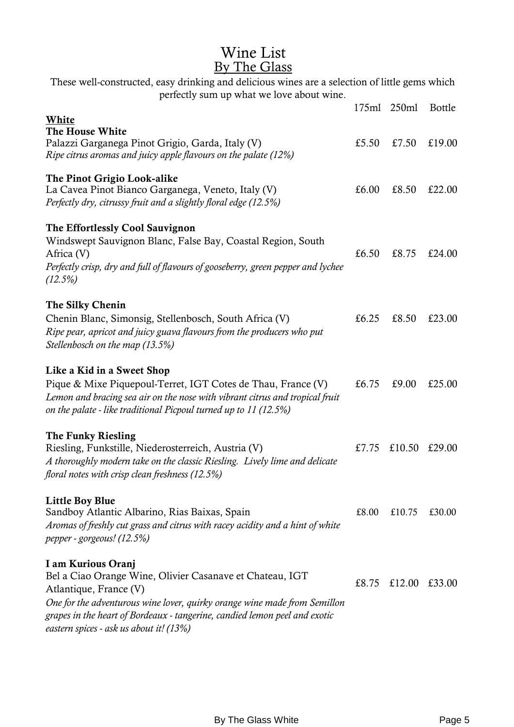## Wine List By The Glass

| These well-constructed, easy drinking and delicious wines are a selection of little gems which<br>perfectly sum up what we love about wine. |       |               |               |
|---------------------------------------------------------------------------------------------------------------------------------------------|-------|---------------|---------------|
|                                                                                                                                             | 175ml | 250ml         | <b>Bottle</b> |
| White                                                                                                                                       |       |               |               |
| The House White                                                                                                                             |       |               | £19.00        |
| Palazzi Garganega Pinot Grigio, Garda, Italy (V)<br>Ripe citrus aromas and juicy apple flavours on the palate (12%)                         | £5.50 | £7.50         |               |
| The Pinot Grigio Look-alike                                                                                                                 |       |               |               |
| La Cavea Pinot Bianco Garganega, Veneto, Italy (V)                                                                                          | £6.00 | £8.50         | £22.00        |
| Perfectly dry, citrussy fruit and a slightly floral edge (12.5%)                                                                            |       |               |               |
| The Effortlessly Cool Sauvignon                                                                                                             |       |               |               |
| Windswept Sauvignon Blanc, False Bay, Coastal Region, South                                                                                 |       |               |               |
| Africa (V)                                                                                                                                  | £6.50 | £8.75         | £24.00        |
| Perfectly crisp, dry and full of flavours of gooseberry, green pepper and lychee                                                            |       |               |               |
| (12.5%)                                                                                                                                     |       |               |               |
| The Silky Chenin                                                                                                                            |       |               |               |
| Chenin Blanc, Simonsig, Stellenbosch, South Africa (V)                                                                                      | £6.25 | £8.50         | £23.00        |
| Ripe pear, apricot and juicy guava flavours from the producers who put                                                                      |       |               |               |
| Stellenbosch on the map (13.5%)                                                                                                             |       |               |               |
| Like a Kid in a Sweet Shop                                                                                                                  |       |               |               |
| Pique & Mixe Piquepoul-Terret, IGT Cotes de Thau, France (V)                                                                                | £6.75 | £9.00         | £25.00        |
| Lemon and bracing sea air on the nose with vibrant citrus and tropical fruit                                                                |       |               |               |
| on the palate - like traditional Picpoul turned up to 11 (12.5%)                                                                            |       |               |               |
| The Funky Riesling                                                                                                                          |       |               |               |
| Riesling, Funkstille, Niederosterreich, Austria (V)                                                                                         | £7.75 | £10.50        | £29.00        |
| A thoroughly modern take on the classic Riesling. Lively lime and delicate                                                                  |       |               |               |
| floral notes with crisp clean freshness (12.5%)                                                                                             |       |               |               |
| <b>Little Boy Blue</b>                                                                                                                      |       |               |               |
| Sandboy Atlantic Albarino, Rias Baixas, Spain                                                                                               | £8.00 | £10.75        | £30.00        |
| Aromas of freshly cut grass and citrus with racey acidity and a hint of white                                                               |       |               |               |
| pepper - gorgeous! (12.5%)                                                                                                                  |       |               |               |
| I am Kurious Oranj                                                                                                                          |       |               |               |
| Bel a Ciao Orange Wine, Olivier Casanave et Chateau, IGT                                                                                    |       |               |               |
| Atlantique, France (V)                                                                                                                      | £8.75 | £12.00 £33.00 |               |
| One for the adventurous wine lover, quirky orange wine made from Semillon                                                                   |       |               |               |
| grapes in the heart of Bordeaux - tangerine, candied lemon peel and exotic                                                                  |       |               |               |
| eastern spices - ask us about it! (13%)                                                                                                     |       |               |               |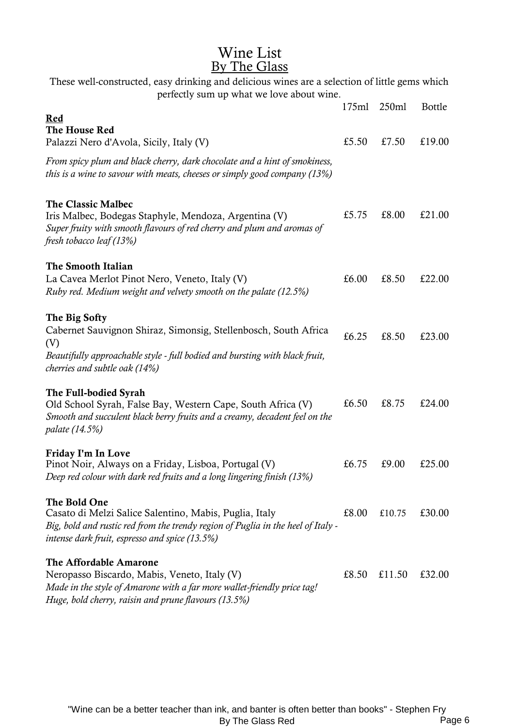### Wine List By The Glass

| These well-constructed, easy drinking and delicious wines are a selection of little gems which<br>perfectly sum up what we love about wine.                                                                  |       |        |               |
|--------------------------------------------------------------------------------------------------------------------------------------------------------------------------------------------------------------|-------|--------|---------------|
|                                                                                                                                                                                                              | 175ml | 250ml  | <b>Bottle</b> |
| Red<br>The House Red<br>Palazzi Nero d'Avola, Sicily, Italy (V)                                                                                                                                              | £5.50 | £7.50  | £19.00        |
| From spicy plum and black cherry, dark chocolate and a hint of smokiness,<br>this is a wine to savour with meats, cheeses or simply good company (13%)                                                       |       |        |               |
| <b>The Classic Malbec</b><br>Iris Malbec, Bodegas Staphyle, Mendoza, Argentina (V)<br>Super fruity with smooth flavours of red cherry and plum and aromas of<br>fresh tobacco leaf (13%)                     | £5.75 | £8.00  | £21.00        |
| The Smooth Italian<br>La Cavea Merlot Pinot Nero, Veneto, Italy (V)<br>Ruby red. Medium weight and velvety smooth on the palate (12.5%)                                                                      | £6.00 | £8.50  | £22.00        |
| The Big Softy<br>Cabernet Sauvignon Shiraz, Simonsig, Stellenbosch, South Africa<br>(V)<br>Beautifully approachable style - full bodied and bursting with black fruit,<br>cherries and subtle oak (14%)      | £6.25 | £8.50  | £23.00        |
| The Full-bodied Syrah<br>Old School Syrah, False Bay, Western Cape, South Africa (V)<br>Smooth and succulent black berry fruits and a creamy, decadent feel on the<br><i>palate</i> (14.5%)                  | £6.50 | £8.75  | £24.00        |
| Friday I'm In Love<br>Pinot Noir, Always on a Friday, Lisboa, Portugal (V)<br>Deep red colour with dark red fruits and a long lingering finish (13%)                                                         | £6.75 | £9.00  | £25.00        |
| The Bold One<br>Casato di Melzi Salice Salentino, Mabis, Puglia, Italy<br>Big, bold and rustic red from the trendy region of Puglia in the heel of Italy -<br>intense dark fruit, espresso and spice (13.5%) | £8.00 | £10.75 | £30.00        |
| The Affordable Amarone<br>Neropasso Biscardo, Mabis, Veneto, Italy (V)<br>Made in the style of Amarone with a far more wallet-friendly price tag!<br>Huge, bold cherry, raisin and prune flavours (13.5%)    | £8.50 | £11.50 | £32.00        |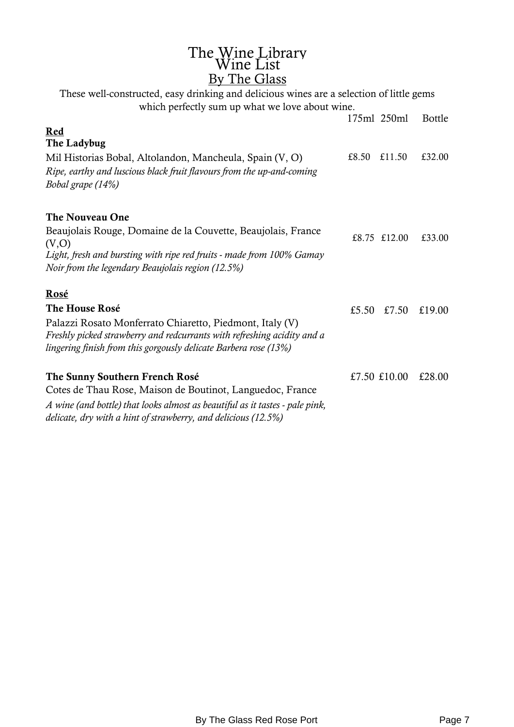# The Wine Library Wine List By The Glass

175ml 250ml Bottle Red The Ladybug Mil Historias Bobal, Altolandon, Mancheula, Spain (V, O)  $\qquad \qquad$  £8.50 £11.50 £32.00 *Ripe, earthy and luscious black fruit flavours from the up-and-coming Bobal grape (14%)* The Nouveau One Beaujolais Rouge, Domaine de la Couvette, Beaujolais, France  $\text{Equation 100gC}, \text{D smaller de a Coarece, D charge}$ <br>(V,O)  $\text{E33.00}$ *Light, fresh and bursting with ripe red fruits - made from 100% Gamay Noir from the legendary Beaujolais region (12.5%)* Rosé The House Rosé  $\begin{array}{cccc} 5.50 & f7.50 & f19.00 \end{array}$ Palazzi Rosato Monferrato Chiaretto, Piedmont, Italy (V) *Freshly picked strawberry and redcurrants with refreshing acidity and a lingering finish from this gorgously delicate Barbera rose (13%)* The Sunny Southern French Rosé  $£7.50 \t£10.00 \t£28.00$ Cotes de Thau Rose, Maison de Boutinot, Languedoc, France *A wine (and bottle) that looks almost as beautiful as it tastes - pale pink, delicate, dry with a hint of strawberry, and delicious (12.5%)* These well-constructed, easy drinking and delicious wines are a selection of little gems which perfectly sum up what we love about wine.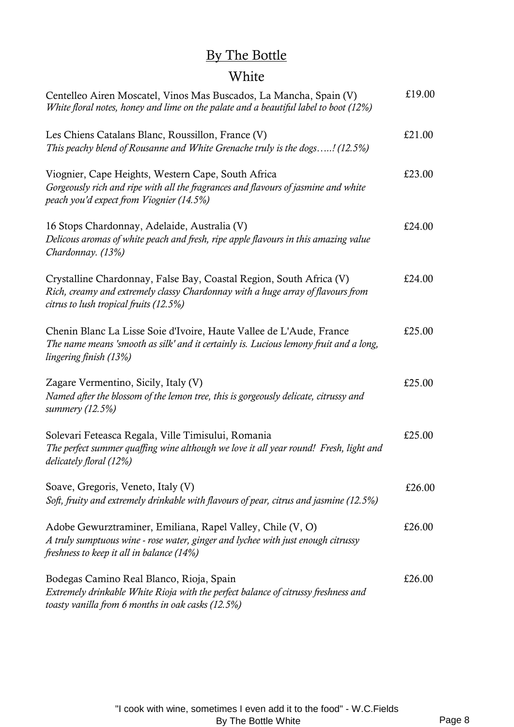## By The Bottle

## White

| Centelleo Airen Moscatel, Vinos Mas Buscados, La Mancha, Spain (V)<br>White floral notes, honey and lime on the palate and a beautiful label to boot (12%)                                       | £19.00 |
|--------------------------------------------------------------------------------------------------------------------------------------------------------------------------------------------------|--------|
| Les Chiens Catalans Blanc, Roussillon, France (V)<br>This peachy blend of Rousanne and White Grenache truly is the dogs! (12.5%)                                                                 | £21.00 |
| Viognier, Cape Heights, Western Cape, South Africa<br>Gorgeously rich and ripe with all the fragrances and flavours of jasmine and white<br>peach you'd expect from Viognier (14.5%)             | £23.00 |
| 16 Stops Chardonnay, Adelaide, Australia (V)<br>Delicous aromas of white peach and fresh, ripe apple flavours in this amazing value<br>Chardonnay. (13%)                                         | £24.00 |
| Crystalline Chardonnay, False Bay, Coastal Region, South Africa (V)<br>Rich, creamy and extremely classy Chardonnay with a huge array of flavours from<br>citrus to lush tropical fruits (12.5%) | £24.00 |
| Chenin Blanc La Lisse Soie d'Ivoire, Haute Vallee de L'Aude, France<br>The name means 'smooth as silk' and it certainly is. Lucious lemony fruit and a long,<br>lingering finish (13%)           | £25.00 |
| Zagare Vermentino, Sicily, Italy (V)<br>Named after the blossom of the lemon tree, this is gorgeously delicate, citrussy and<br>summery (12.5%)                                                  | £25.00 |
| Solevari Feteasca Regala, Ville Timisului, Romania<br>The perfect summer quaffing wine although we love it all year round! Fresh, light and<br>delicately floral (12%)                           | £25.00 |
| Soave, Gregoris, Veneto, Italy (V)<br>Soft, fruity and extremely drinkable with flavours of pear, citrus and jasmine (12.5%)                                                                     | £26.00 |
| Adobe Gewurztraminer, Emiliana, Rapel Valley, Chile (V, O)<br>A truly sumptuous wine - rose water, ginger and lychee with just enough citrussy<br>freshness to keep it all in balance (14%)      | £26.00 |
| Bodegas Camino Real Blanco, Rioja, Spain<br>Extremely drinkable White Rioja with the perfect balance of citrussy freshness and<br>toasty vanilla from 6 months in oak casks (12.5%)              | £26.00 |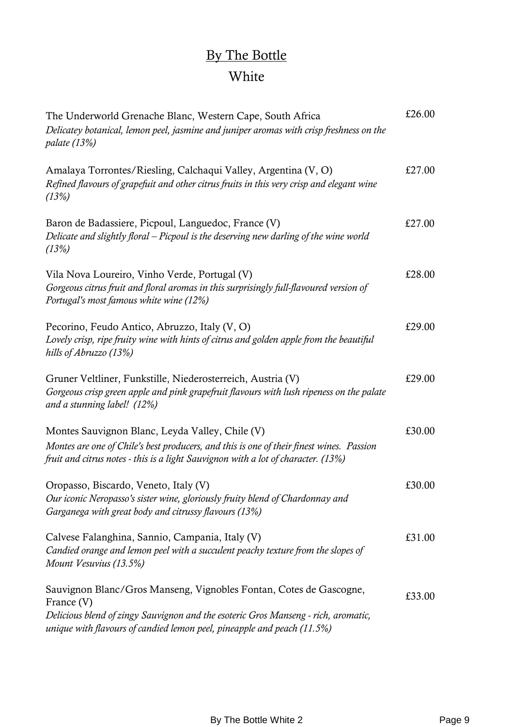# By The Bottle White

| The Underworld Grenache Blanc, Western Cape, South Africa<br>Delicatey botanical, lemon peel, jasmine and juniper aromas with crisp freshness on the<br><i>palate</i> (13%)                                                                       | £26.00 |
|---------------------------------------------------------------------------------------------------------------------------------------------------------------------------------------------------------------------------------------------------|--------|
| Amalaya Torrontes/Riesling, Calchaqui Valley, Argentina (V, O)<br>Refined flavours of grapefuit and other citrus fruits in this very crisp and elegant wine<br>(13%)                                                                              | £27.00 |
| Baron de Badassiere, Picpoul, Languedoc, France (V)<br>Delicate and slightly floral – Picpoul is the deserving new darling of the wine world<br>(13%)                                                                                             | £27.00 |
| Vila Nova Loureiro, Vinho Verde, Portugal (V)<br>Gorgeous citrus fruit and floral aromas in this surprisingly full-flavoured version of<br>Portugal's most famous white wine (12%)                                                                | £28.00 |
| Pecorino, Feudo Antico, Abruzzo, Italy (V, O)<br>Lovely crisp, ripe fruity wine with hints of citrus and golden apple from the beautiful<br>hills of Abruzzo (13%)                                                                                | £29.00 |
| Gruner Veltliner, Funkstille, Niederosterreich, Austria (V)<br>Gorgeous crisp green apple and pink grapefruit flavours with lush ripeness on the palate<br>and a stunning label! (12%)                                                            | £29.00 |
| Montes Sauvignon Blanc, Leyda Valley, Chile (V)<br>Montes are one of Chile's best producers, and this is one of their finest wines. Passion<br>fruit and citrus notes - this is a light Sauvignon with a lot of character. (13%)                  | £30.00 |
| Oropasso, Biscardo, Veneto, Italy (V)<br>Our iconic Neropasso's sister wine, gloriously fruity blend of Chardonnay and<br>Garganega with great body and citrussy flavours (13%)                                                                   | £30.00 |
| Calvese Falanghina, Sannio, Campania, Italy (V)<br>Candied orange and lemon peel with a succulent peachy texture from the slopes of<br>Mount Vesuvius (13.5%)                                                                                     | £31.00 |
| Sauvignon Blanc/Gros Manseng, Vignobles Fontan, Cotes de Gascogne,<br>France (V)<br>Delicious blend of zingy Sauvignon and the esoteric Gros Manseng - rich, aromatic,<br>unique with flavours of candied lemon peel, pineapple and peach (11.5%) | £33.00 |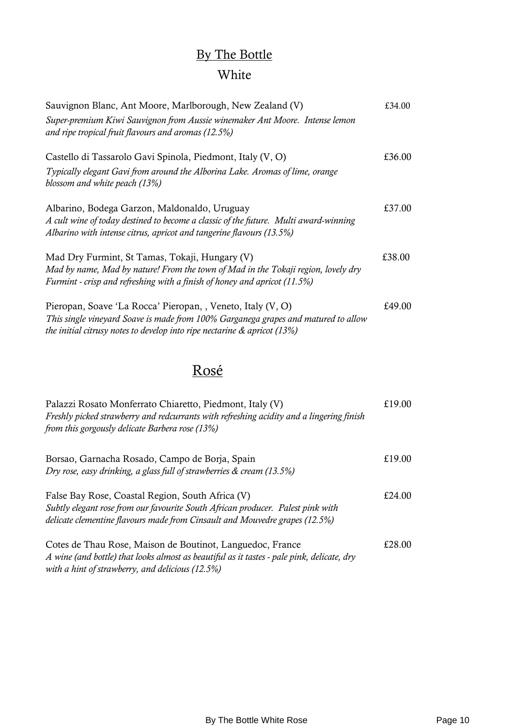## By The Bottle

## White

| Sauvignon Blanc, Ant Moore, Marlborough, New Zealand (V)                                                                                                                                                                         | £34.00 |
|----------------------------------------------------------------------------------------------------------------------------------------------------------------------------------------------------------------------------------|--------|
| Super-premium Kiwi Sauvignon from Aussie winemaker Ant Moore. Intense lemon<br>and ripe tropical fruit flavours and aromas (12.5%)                                                                                               |        |
| Castello di Tassarolo Gavi Spinola, Piedmont, Italy (V, O)                                                                                                                                                                       | £36.00 |
| Typically elegant Gavi from around the Alborina Lake. Aromas of lime, orange<br>blossom and white peach (13%)                                                                                                                    |        |
| Albarino, Bodega Garzon, Maldonaldo, Uruguay<br>A cult wine of today destined to become a classic of the future. Multi award-winning<br>Albarino with intense citrus, apricot and tangerine flavours (13.5%)                     | £37.00 |
| Mad Dry Furmint, St Tamas, Tokaji, Hungary (V)<br>Mad by name, Mad by nature! From the town of Mad in the Tokaji region, lovely dry<br>Furmint - crisp and refreshing with a finish of honey and apricot (11.5%)                 | £38.00 |
| Pieropan, Soave 'La Rocca' Pieropan, , Veneto, Italy (V, O)<br>This single vineyard Soave is made from 100% Garganega grapes and matured to allow<br>the initial citrusy notes to develop into ripe nectarine $\&$ apricot (13%) | £49.00 |

## Rosé

| Palazzi Rosato Monferrato Chiaretto, Piedmont, Italy (V)<br>Freshly picked strawberry and redcurrants with refreshing acidity and a lingering finish<br>from this gorgously delicate Barbera rose (13%)            | £19.00 |
|--------------------------------------------------------------------------------------------------------------------------------------------------------------------------------------------------------------------|--------|
| Borsao, Garnacha Rosado, Campo de Borja, Spain<br>Dry rose, easy drinking, a glass full of strawberries & cream (13.5%)                                                                                            | £19.00 |
| False Bay Rose, Coastal Region, South Africa (V)<br>Subtly elegant rose from our favourite South African producer. Palest pink with<br>delicate clementine flavours made from Cinsault and Mouvedre grapes (12.5%) | £24.00 |
| Cotes de Thau Rose, Maison de Boutinot, Languedoc, France<br>A wine (and bottle) that looks almost as beautiful as it tastes - pale pink, delicate, dry<br>with a hint of strawberry, and delicious $(12.5\%)$     | £28.00 |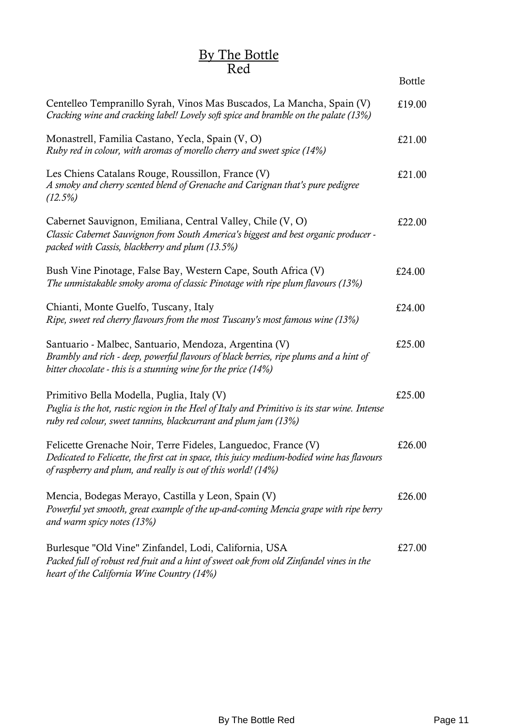#### By The Bottle Red

|                                                                                                                                                                                                                              | <b>Bottle</b> |
|------------------------------------------------------------------------------------------------------------------------------------------------------------------------------------------------------------------------------|---------------|
| Centelleo Tempranillo Syrah, Vinos Mas Buscados, La Mancha, Spain (V)<br>Cracking wine and cracking label! Lovely soft spice and bramble on the palate (13%)                                                                 | £19.00        |
| Monastrell, Familia Castano, Yecla, Spain (V, O)<br>Ruby red in colour, with aromas of morello cherry and sweet spice (14%)                                                                                                  | £21.00        |
| Les Chiens Catalans Rouge, Roussillon, France (V)<br>A smoky and cherry scented blend of Grenache and Carignan that's pure pedigree<br>$(12.5\%)$                                                                            | £21.00        |
| Cabernet Sauvignon, Emiliana, Central Valley, Chile (V, O)<br>Classic Cabernet Sauvignon from South America's biggest and best organic producer -<br>packed with Cassis, blackberry and plum (13.5%)                         | £22.00        |
| Bush Vine Pinotage, False Bay, Western Cape, South Africa (V)<br>The unmistakable smoky aroma of classic Pinotage with ripe plum flavours (13%)                                                                              | £24.00        |
| Chianti, Monte Guelfo, Tuscany, Italy<br>Ripe, sweet red cherry flavours from the most Tuscany's most famous wine (13%)                                                                                                      | £24.00        |
| Santuario - Malbec, Santuario, Mendoza, Argentina (V)<br>Brambly and rich - deep, powerful flavours of black berries, ripe plums and a hint of<br>bitter chocolate - this is a stunning wine for the price (14%)             | £25.00        |
| Primitivo Bella Modella, Puglia, Italy (V)<br>Puglia is the hot, rustic region in the Heel of Italy and Primitivo is its star wine. Intense<br>ruby red colour, sweet tannins, blackcurrant and plum jam (13%)               | £25.00        |
| Felicette Grenache Noir, Terre Fideles, Languedoc, France (V)<br>Dedicated to Felicette, the first cat in space, this juicy medium-bodied wine has flavours<br>of raspberry and plum, and really is out of this world! (14%) | £26.00        |
| Mencia, Bodegas Merayo, Castilla y Leon, Spain (V)<br>Powerful yet smooth, great example of the up-and-coming Mencia grape with ripe berry<br>and warm spicy notes (13%)                                                     | £26.00        |
| Burlesque "Old Vine" Zinfandel, Lodi, California, USA<br>Packed full of robust red fruit and a hint of sweet oak from old Zinfandel vines in the<br>heart of the California Wine Country (14%)                               | £27.00        |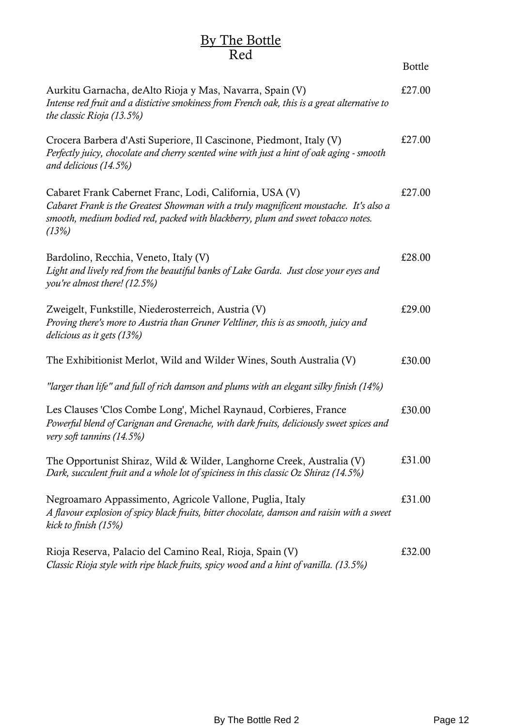### By The Bottle Red

|                                                                                                                                                                                                                                               | <b>Bottle</b> |
|-----------------------------------------------------------------------------------------------------------------------------------------------------------------------------------------------------------------------------------------------|---------------|
| Aurkitu Garnacha, deAlto Rioja y Mas, Navarra, Spain (V)<br>Intense red fruit and a distictive smokiness from French oak, this is a great alternative to<br>the classic Rioja (13.5%)                                                         | £27.00        |
| Crocera Barbera d'Asti Superiore, Il Cascinone, Piedmont, Italy (V)<br>Perfectly juicy, chocolate and cherry scented wine with just a hint of oak aging - smooth<br>and delicious (14.5%)                                                     | £27.00        |
| Cabaret Frank Cabernet Franc, Lodi, California, USA (V)<br>Cabaret Frank is the Greatest Showman with a truly magnificent moustache. It's also a<br>smooth, medium bodied red, packed with blackberry, plum and sweet tobacco notes.<br>(13%) | £27.00        |
| Bardolino, Recchia, Veneto, Italy (V)<br>Light and lively red from the beautiful banks of Lake Garda. Just close your eyes and<br>you're almost there! (12.5%)                                                                                | £28.00        |
| Zweigelt, Funkstille, Niederosterreich, Austria (V)<br>Proving there's more to Austria than Gruner Veltliner, this is as smooth, juicy and<br><i>delicious as it gets (13%)</i>                                                               | £29.00        |
| The Exhibitionist Merlot, Wild and Wilder Wines, South Australia (V)                                                                                                                                                                          | £30.00        |
| "larger than life" and full of rich damson and plums with an elegant silky finish (14%)                                                                                                                                                       |               |
| Les Clauses 'Clos Combe Long', Michel Raynaud, Corbieres, France<br>Powerful blend of Carignan and Grenache, with dark fruits, deliciously sweet spices and<br>very soft tannins (14.5%)                                                      | £30.00        |
| The Opportunist Shiraz, Wild & Wilder, Langhorne Creek, Australia (V)<br>Dark, succulent fruit and a whole lot of spiciness in this classic Oz Shiraz (14.5%)                                                                                 | £31.00        |
| Negroamaro Appassimento, Agricole Vallone, Puglia, Italy<br>A flavour explosion of spicy black fruits, bitter chocolate, damson and raisin with a sweet<br>kick to finish (15%)                                                               | £31.00        |
| Rioja Reserva, Palacio del Camino Real, Rioja, Spain (V)<br>Classic Rioja style with ripe black fruits, spicy wood and a hint of vanilla. (13.5%)                                                                                             | £32.00        |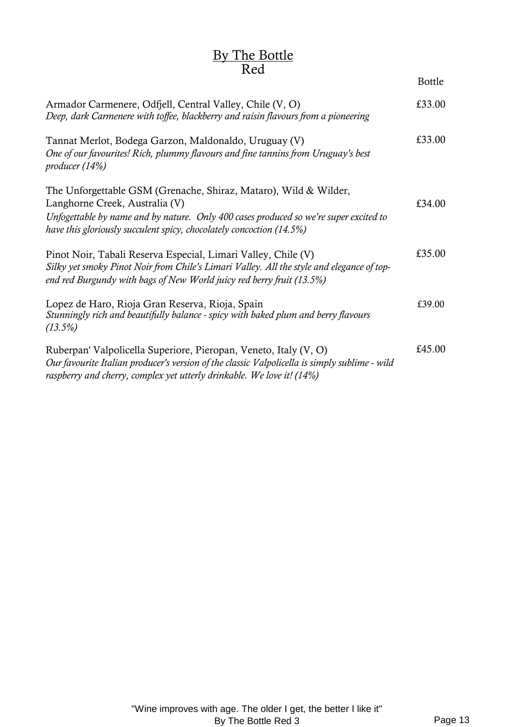### By The Bottle Red

Bottle

| Armador Carmenere, Odfjell, Central Valley, Chile (V, O)<br>Deep, dark Carmenere with toffee, blackberry and raisin flavours from a pioneering                                                                                                                      | £33.00 |
|---------------------------------------------------------------------------------------------------------------------------------------------------------------------------------------------------------------------------------------------------------------------|--------|
| Tannat Merlot, Bodega Garzon, Maldonaldo, Uruguay (V)<br>One of our favourites! Rich, plummy flavours and fine tannins from Uruguay's best<br>producer $(14%)$                                                                                                      | £33.00 |
| The Unforgettable GSM (Grenache, Shiraz, Mataro), Wild & Wilder,<br>Langhorne Creek, Australia (V)<br>Unfogettable by name and by nature. Only 400 cases produced so we're super excited to<br>have this gloriously succulent spicy, chocolately concoction (14.5%) | £34.00 |
| Pinot Noir, Tabali Reserva Especial, Limari Valley, Chile (V)<br>Silky yet smoky Pinot Noir from Chile's Limari Valley. All the style and elegance of top-<br>end red Burgundy with bags of New World juicy red berry fruit (13.5%)                                 | £35.00 |
| Lopez de Haro, Rioja Gran Reserva, Rioja, Spain<br>Stunningly rich and beautifully balance - spicy with baked plum and berry flavours<br>(13.5%)                                                                                                                    | £39.00 |
| Ruberpan' Valpolicella Superiore, Pieropan, Veneto, Italy (V, O)<br>Our favourite Italian producer's version of the classic Valpolicella is simply sublime - wild<br>raspberry and cherry, complex yet utterly drinkable. We love it! (14%)                         | £45.00 |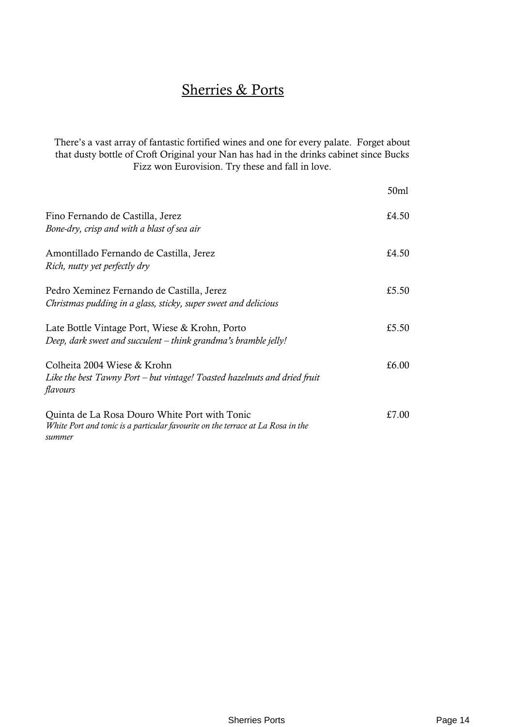## Sherries & Ports

There's a vast array of fantastic fortified wines and one for every palate. Forget about that dusty bottle of Croft Original your Nan has had in the drinks cabinet since Bucks Fizz won Eurovision. Try these and fall in love.

|                                                                                                                                            | 50 <sub>ml</sub> |
|--------------------------------------------------------------------------------------------------------------------------------------------|------------------|
| Fino Fernando de Castilla, Jerez<br>Bone-dry, crisp and with a blast of sea air                                                            | £4.50            |
| Amontillado Fernando de Castilla, Jerez<br>Rich, nutty yet perfectly dry                                                                   | £4.50            |
| Pedro Xeminez Fernando de Castilla, Jerez<br>Christmas pudding in a glass, sticky, super sweet and delicious                               | £5.50            |
| Late Bottle Vintage Port, Wiese & Krohn, Porto<br>Deep, dark sweet and succulent – think grandma's bramble jelly!                          | £5.50            |
| Colheita 2004 Wiese & Krohn<br>Like the best Tawny Port – but vintage! Toasted hazelnuts and dried fruit<br>flavours                       | £6.00            |
| Quinta de La Rosa Douro White Port with Tonic<br>White Port and tonic is a particular favourite on the terrace at La Rosa in the<br>summer | £7.00            |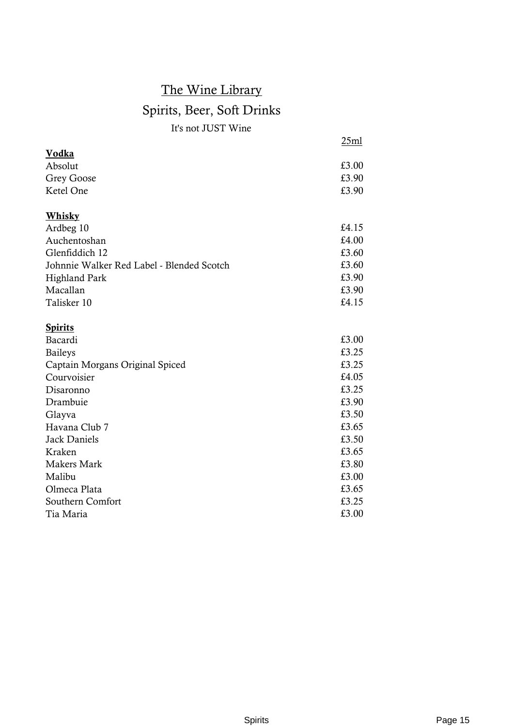## The Wine Library Spirits, Beer, Soft Drinks It's not JUST Wine

|                                           | 25ml  |
|-------------------------------------------|-------|
| Vodka                                     |       |
| Absolut                                   | £3.00 |
| <b>Grey Goose</b>                         | £3.90 |
| Ketel One                                 | £3.90 |
| <u>Whisky</u>                             |       |
| Ardbeg 10                                 | £4.15 |
| Auchentoshan                              | £4.00 |
| Glenfiddich 12                            | £3.60 |
| Johnnie Walker Red Label - Blended Scotch | £3.60 |
| <b>Highland Park</b>                      | £3.90 |
| Macallan                                  | £3.90 |
| Talisker 10                               | £4.15 |
| <b>Spirits</b>                            |       |
| Bacardi                                   | £3.00 |
| <b>Baileys</b>                            | £3.25 |
| Captain Morgans Original Spiced           | £3.25 |
| Courvoisier                               | £4.05 |
| Disaronno                                 | £3.25 |
| Drambuie                                  | £3.90 |
| Glayva                                    | £3.50 |
| Havana Club 7                             | £3.65 |
| <b>Jack Daniels</b>                       | £3.50 |
| Kraken                                    | £3.65 |
| <b>Makers Mark</b>                        | £3.80 |
| Malibu                                    | £3.00 |
| Olmeca Plata                              | £3.65 |
| Southern Comfort                          | £3.25 |
| Tia Maria                                 | £3.00 |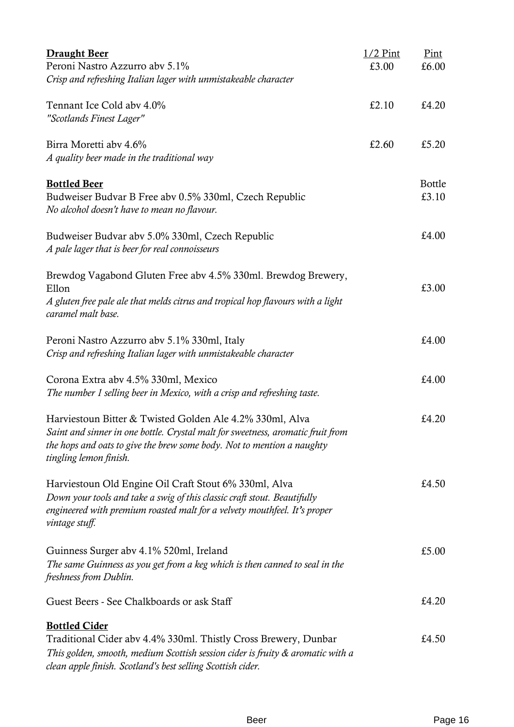| <b>Draught Beer</b>                                                                                                                           | $1/2$ Pint | Pint          |
|-----------------------------------------------------------------------------------------------------------------------------------------------|------------|---------------|
| Peroni Nastro Azzurro aby 5.1%                                                                                                                | £3.00      | £6.00         |
| Crisp and refreshing Italian lager with unmistakeable character                                                                               |            |               |
| Tennant Ice Cold aby 4.0%                                                                                                                     | £2.10      | £4.20         |
| "Scotlands Finest Lager"                                                                                                                      |            |               |
| Birra Moretti aby 4.6%                                                                                                                        | £2.60      | £5.20         |
| A quality beer made in the traditional way                                                                                                    |            |               |
| <b>Bottled Beer</b>                                                                                                                           |            | <b>Bottle</b> |
| Budweiser Budvar B Free abv 0.5% 330ml, Czech Republic                                                                                        |            | £3.10         |
| No alcohol doesn't have to mean no flavour.                                                                                                   |            |               |
| Budweiser Budvar abv 5.0% 330ml, Czech Republic                                                                                               |            | £4.00         |
| A pale lager that is beer for real connoisseurs                                                                                               |            |               |
| Brewdog Vagabond Gluten Free abv 4.5% 330ml. Brewdog Brewery,                                                                                 |            |               |
| Ellon                                                                                                                                         |            | £3.00         |
| A gluten free pale ale that melds citrus and tropical hop flavours with a light<br>caramel malt base.                                         |            |               |
| Peroni Nastro Azzurro aby 5.1% 330ml, Italy                                                                                                   |            | £4.00         |
| Crisp and refreshing Italian lager with unmistakeable character                                                                               |            |               |
| Corona Extra abv 4.5% 330ml, Mexico                                                                                                           |            | £4.00         |
| The number 1 selling beer in Mexico, with a crisp and refreshing taste.                                                                       |            |               |
| Harviestoun Bitter & Twisted Golden Ale 4.2% 330ml, Alva                                                                                      |            | £4.20         |
| Saint and sinner in one bottle. Crystal malt for sweetness, aromatic fruit from                                                               |            |               |
| the hops and oats to give the brew some body. Not to mention a naughty                                                                        |            |               |
| tingling lemon finish.                                                                                                                        |            |               |
| Harviestoun Old Engine Oil Craft Stout 6% 330ml, Alva                                                                                         |            | £4.50         |
| Down your tools and take a swig of this classic craft stout. Beautifully                                                                      |            |               |
| engineered with premium roasted malt for a velvety mouthfeel. It's proper                                                                     |            |               |
| vintage stuff.                                                                                                                                |            |               |
| Guinness Surger abv 4.1% 520ml, Ireland                                                                                                       |            | £5.00         |
| The same Guinness as you get from a keg which is then canned to seal in the                                                                   |            |               |
| freshness from Dublin.                                                                                                                        |            |               |
| Guest Beers - See Chalkboards or ask Staff                                                                                                    |            | £4.20         |
| <b>Bottled Cider</b>                                                                                                                          |            |               |
| Traditional Cider abv 4.4% 330ml. Thistly Cross Brewery, Dunbar                                                                               |            | £4.50         |
| This golden, smooth, medium Scottish session cider is fruity & aromatic with a<br>clean apple finish. Scotland's best selling Scottish cider. |            |               |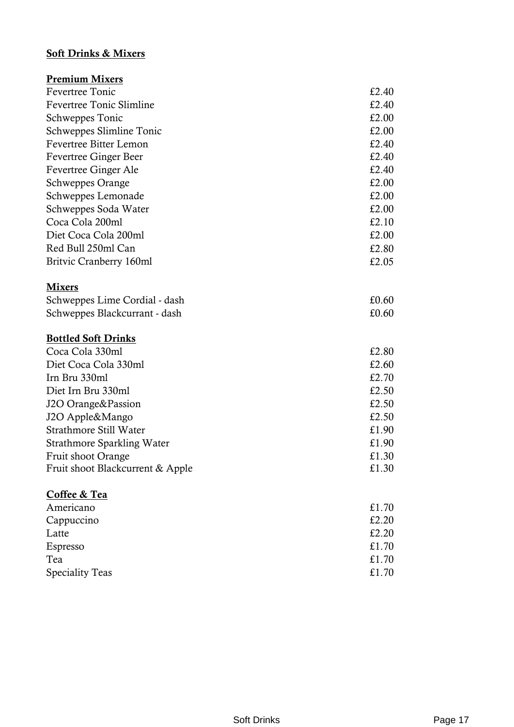#### Soft Drinks & Mixers

| <b>Premium Mixers</b>             |       |
|-----------------------------------|-------|
| <b>Fevertree Tonic</b>            | £2.40 |
| <b>Fevertree Tonic Slimline</b>   | £2.40 |
| Schweppes Tonic                   | £2.00 |
| Schweppes Slimline Tonic          | £2.00 |
| <b>Fevertree Bitter Lemon</b>     | £2.40 |
| <b>Fevertree Ginger Beer</b>      | £2.40 |
| Fevertree Ginger Ale              | £2.40 |
| <b>Schweppes Orange</b>           | £2.00 |
| Schweppes Lemonade                | £2.00 |
| Schweppes Soda Water              | £2.00 |
| Coca Cola 200ml                   | £2.10 |
| Diet Coca Cola 200ml              | £2.00 |
| Red Bull 250ml Can                | £2.80 |
| Britvic Cranberry 160ml           | £2.05 |
| <b>Mixers</b>                     |       |
| Schweppes Lime Cordial - dash     | £0.60 |
| Schweppes Blackcurrant - dash     | £0.60 |
| <b>Bottled Soft Drinks</b>        |       |
| Coca Cola 330ml                   | £2.80 |
| Diet Coca Cola 330ml              | £2.60 |
| Irn Bru 330ml                     | £2.70 |
| Diet Irn Bru 330ml                | £2.50 |
| J2O Orange&Passion                | £2.50 |
| J2O Apple&Mango                   | £2.50 |
| Strathmore Still Water            | £1.90 |
| <b>Strathmore Sparkling Water</b> | £1.90 |
| <b>Fruit shoot Orange</b>         | £1.30 |
| Fruit shoot Blackcurrent & Apple  | £1.30 |
| Coffee & Tea                      |       |
| Americano                         | £1.70 |
| Cappuccino                        | £2.20 |
| Latte                             | £2.20 |
| Espresso                          | £1.70 |
| Tea                               | £1.70 |
| <b>Speciality Teas</b>            | £1.70 |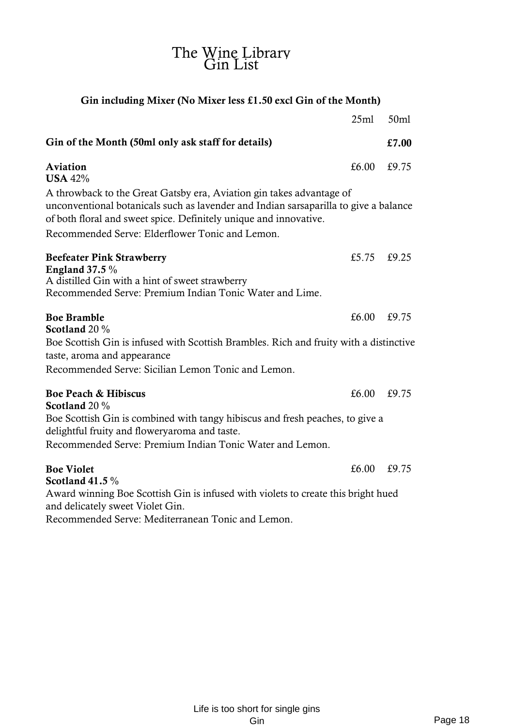| Gin including Mixer (No Mixer less £1.50 excl Gin of the Month)                                                                                                                                                                   |       |       |
|-----------------------------------------------------------------------------------------------------------------------------------------------------------------------------------------------------------------------------------|-------|-------|
|                                                                                                                                                                                                                                   | 25ml  | 50ml  |
| Gin of the Month (50ml only ask staff for details)                                                                                                                                                                                |       | £7.00 |
| Aviation<br><b>USA 42%</b>                                                                                                                                                                                                        | £6.00 | £9.75 |
| A throwback to the Great Gatsby era, Aviation gin takes advantage of<br>unconventional botanicals such as lavender and Indian sarsaparilla to give a balance<br>of both floral and sweet spice. Definitely unique and innovative. |       |       |
| Recommended Serve: Elderflower Tonic and Lemon.                                                                                                                                                                                   |       |       |
| <b>Beefeater Pink Strawberry</b><br><b>England 37.5 %</b><br>A distilled Gin with a hint of sweet strawberry<br>Recommended Serve: Premium Indian Tonic Water and Lime.                                                           | £5.75 | £9.25 |
| <b>Boe Bramble</b><br>Scotland 20 %<br>Boe Scottish Gin is infused with Scottish Brambles. Rich and fruity with a distinctive                                                                                                     | £6.00 | £9.75 |
| taste, aroma and appearance                                                                                                                                                                                                       |       |       |
| Recommended Serve: Sicilian Lemon Tonic and Lemon.                                                                                                                                                                                |       |       |
| <b>Boe Peach &amp; Hibiscus</b><br>Scotland 20 %                                                                                                                                                                                  | £6.00 | £9.75 |
| Boe Scottish Gin is combined with tangy hibiscus and fresh peaches, to give a<br>delightful fruity and floweryaroma and taste.<br>Recommended Serve: Premium Indian Tonic Water and Lemon.                                        |       |       |
| <b>Boe Violet</b><br>Scotland 41.5 $\%$                                                                                                                                                                                           | £6.00 | £9.75 |
| Award winning Boe Scottish Gin is infused with violets to create this bright hued<br>and delicately sweet Violet Gin.                                                                                                             |       |       |

Recommended Serve: Mediterranean Tonic and Lemon.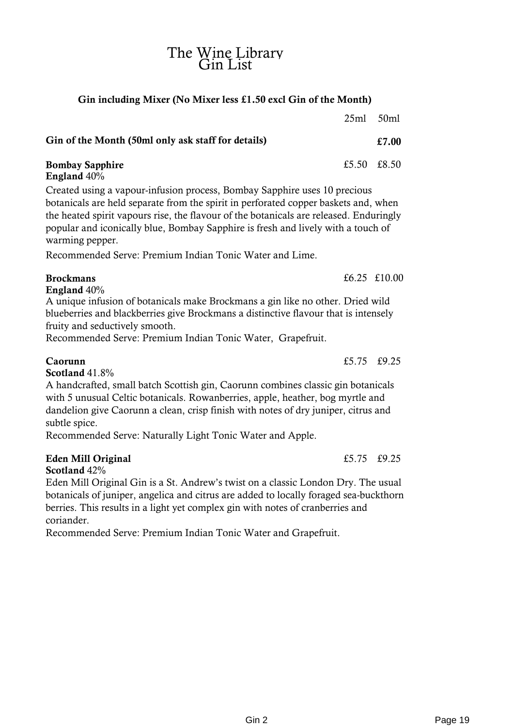#### Gin including Mixer (No Mixer less £1.50 excl Gin of the Month)

|                                                    | $25ml$ $50ml$ |       |
|----------------------------------------------------|---------------|-------|
| Gin of the Month (50ml only ask staff for details) |               | £7.00 |
| <b>Bombay Sapphire</b><br>England 40%              | £5.50 £8.50   |       |

Created using a vapour-infusion process, Bombay Sapphire uses 10 precious botanicals are held separate from the spirit in perforated copper baskets and, when the heated spirit vapours rise, the flavour of the botanicals are released. Enduringly popular and iconically blue, Bombay Sapphire is fresh and lively with a touch of warming pepper.

Recommended Serve: Premium Indian Tonic Water and Lime.

#### Brockmans  $\epsilon$ 6.25 £10.00

England 40%

A unique infusion of botanicals make Brockmans a gin like no other. Dried wild blueberries and blackberries give Brockmans a distinctive flavour that is intensely fruity and seductively smooth.

Recommended Serve: Premium Indian Tonic Water, Grapefruit.

 $Caorunn$   $£5.75$   $£9.25$ 

Scotland 41.8%

A handcrafted, small batch Scottish gin, Caorunn combines classic gin botanicals with 5 unusual Celtic botanicals. Rowanberries, apple, heather, bog myrtle and dandelion give Caorunn a clean, crisp finish with notes of dry juniper, citrus and subtle spice.

Recommended Serve: Naturally Light Tonic Water and Apple.

#### Eden Mill Original  $\qquad 5.75 \quad £9.25$

Scotland 42% Eden Mill Original Gin is a St. Andrew's twist on a classic London Dry. The usual botanicals of juniper, angelica and citrus are added to locally foraged sea-buckthorn berries. This results in a light yet complex gin with notes of cranberries and

coriander.

Recommended Serve: Premium Indian Tonic Water and Grapefruit.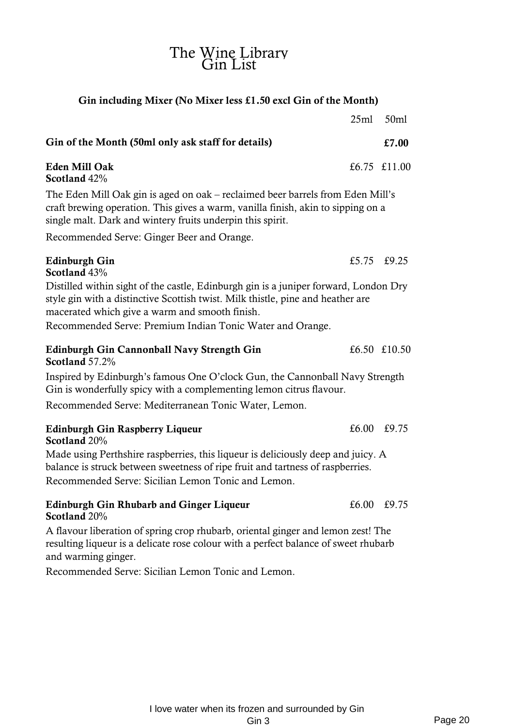#### Gin including Mixer (No Mixer less £1.50 excl Gin of the Month)

|                                                                                                                                                                                                                                  | 25ml  | 50ml         |
|----------------------------------------------------------------------------------------------------------------------------------------------------------------------------------------------------------------------------------|-------|--------------|
| Gin of the Month (50ml only ask staff for details)                                                                                                                                                                               |       | £7.00        |
| <b>Eden Mill Oak</b><br>Scotland 42%                                                                                                                                                                                             |       | £6.75 £11.00 |
| The Eden Mill Oak gin is aged on oak – reclaimed beer barrels from Eden Mill's<br>craft brewing operation. This gives a warm, vanilla finish, akin to sipping on a<br>single malt. Dark and wintery fruits underpin this spirit. |       |              |
| Recommended Serve: Ginger Beer and Orange.                                                                                                                                                                                       |       |              |
| <b>Edinburgh Gin</b><br>Scotland 43%                                                                                                                                                                                             |       | £5.75 £9.25  |
| Distilled within sight of the castle, Edinburgh gin is a juniper forward, London Dry<br>style gin with a distinctive Scottish twist. Milk thistle, pine and heather are<br>macerated which give a warm and smooth finish.        |       |              |
| Recommended Serve: Premium Indian Tonic Water and Orange.                                                                                                                                                                        |       |              |
| Edinburgh Gin Cannonball Navy Strength Gin<br>Scotland 57.2%                                                                                                                                                                     |       | £6.50 £10.50 |
| Inspired by Edinburgh's famous One O'clock Gun, the Cannonball Navy Strength<br>Gin is wonderfully spicy with a complementing lemon citrus flavour.                                                                              |       |              |
| Recommended Serve: Mediterranean Tonic Water, Lemon.                                                                                                                                                                             |       |              |
| <b>Edinburgh Gin Raspberry Liqueur</b><br>Scotland 20%                                                                                                                                                                           |       | £6.00 £9.75  |
| Made using Perthshire raspberries, this liqueur is deliciously deep and juicy. A<br>balance is struck between sweetness of ripe fruit and tartness of raspberries.<br>Recommended Serve: Sicilian Lemon Tonic and Lemon.         |       |              |
| <b>Edinburgh Gin Rhubarb and Ginger Liqueur</b><br>Scotland 20%                                                                                                                                                                  | £6.00 | £9.75        |

A flavour liberation of spring crop rhubarb, oriental ginger and lemon zest! The resulting liqueur is a delicate rose colour with a perfect balance of sweet rhubarb and warming ginger.

Recommended Serve: Sicilian Lemon Tonic and Lemon.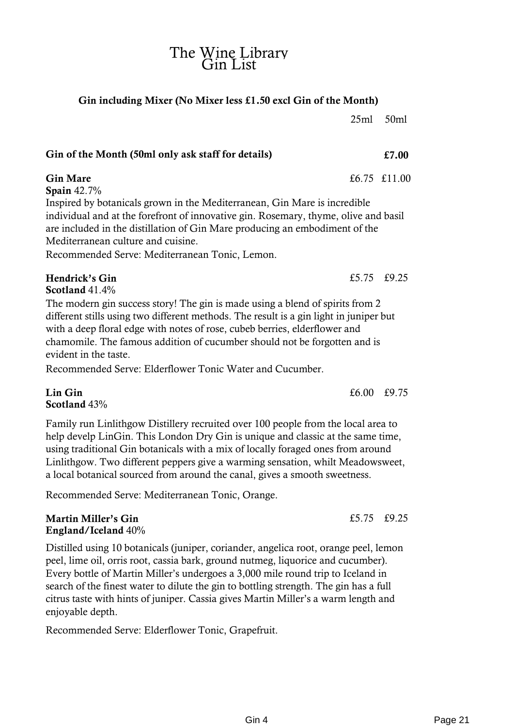#### Gin including Mixer (No Mixer less £1.50 excl Gin of the Month)

25ml 50ml

## Gin of the Month (50ml only ask staff for details)  $\epsilon$ 7.00

Gin Mare  $\frac{6.75 \pm 11.00}{56.75 \pm 11.00}$ 

Spain 42.7%

Inspired by botanicals grown in the Mediterranean, Gin Mare is incredible individual and at the forefront of innovative gin. Rosemary, thyme, olive and basil are included in the distillation of Gin Mare producing an embodiment of the Mediterranean culture and cuisine.

Recommended Serve: Mediterranean Tonic, Lemon.

## Hendrick's Gin  $\epsilon$ 5.75 £9.25

Scotland 41.4%

The modern gin success story! The gin is made using a blend of spirits from 2 different stills using two different methods. The result is a gin light in juniper but with a deep floral edge with notes of rose, cubeb berries, elderflower and chamomile. The famous addition of cucumber should not be forgotten and is evident in the taste.

Recommended Serve: Elderflower Tonic Water and Cucumber.

#### $\lim$  Gin Gin  $\frac{20.75}{20.60}$ Scotland 43%

Family run Linlithgow Distillery recruited over 100 people from the local area to help develp LinGin. This London Dry Gin is unique and classic at the same time, using traditional Gin botanicals with a mix of locally foraged ones from around Linlithgow. Two different peppers give a warming sensation, whilt Meadowsweet, a local botanical sourced from around the canal, gives a smooth sweetness.

Recommended Serve: Mediterranean Tonic, Orange.

#### Martin Miller's Gin  $\epsilon$ 5.75 £9.25  $\epsilon$ 9.25 England/Iceland 40%

Distilled using 10 botanicals (juniper, coriander, angelica root, orange peel, lemon peel, lime oil, orris root, cassia bark, ground nutmeg, liquorice and cucumber). Every bottle of Martin Miller's undergoes a 3,000 mile round trip to Iceland in search of the finest water to dilute the gin to bottling strength. The gin has a full citrus taste with hints of juniper. Cassia gives Martin Miller's a warm length and enjoyable depth.

Recommended Serve: Elderflower Tonic, Grapefruit.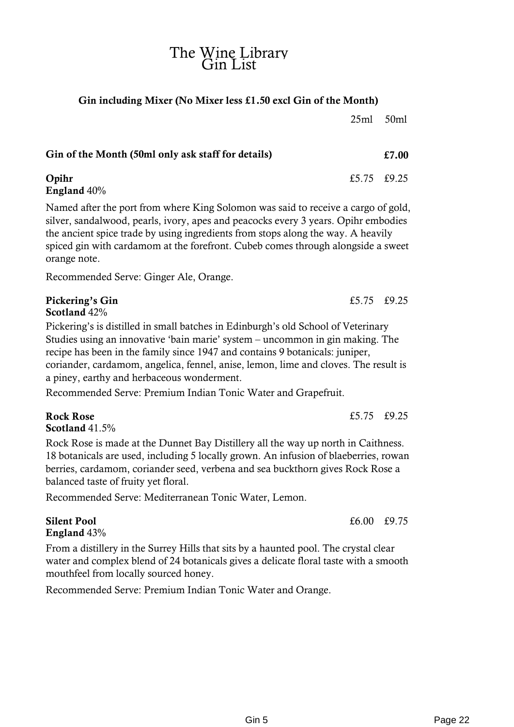#### Gin including Mixer (No Mixer less £1.50 excl Gin of the Month)

Gin of the Month (50ml only ask staff for details)  $£7.00$ **Opihr**  $£5.75$   $£9.25$ England 40%

Named after the port from where King Solomon was said to receive a cargo of gold, silver, sandalwood, pearls, ivory, apes and peacocks every 3 years. Opihr embodies the ancient spice trade by using ingredients from stops along the way. A heavily spiced gin with cardamom at the forefront. Cubeb comes through alongside a sweet orange note.

Recommended Serve: Ginger Ale, Orange.

#### Pickering's Gin  $\epsilon$ 5.75 £9.25  $\epsilon$ 9.25 Scotland 42%

Pickering's is distilled in small batches in Edinburgh's old School of Veterinary Studies using an innovative 'bain marie' system – uncommon in gin making. The recipe has been in the family since 1947 and contains 9 botanicals: juniper, coriander, cardamom, angelica, fennel, anise, lemon, lime and cloves. The result is a piney, earthy and herbaceous wonderment.

Recommended Serve: Premium Indian Tonic Water and Grapefruit.

Scotland 41.5%

Rock Rose is made at the Dunnet Bay Distillery all the way up north in Caithness. 18 botanicals are used, including 5 locally grown. An infusion of blaeberries, rowan berries, cardamom, coriander seed, verbena and sea buckthorn gives Rock Rose a balanced taste of fruity yet floral.

Recommended Serve: Mediterranean Tonic Water, Lemon.

#### Silent Pool **EXECUTE:** EXECUTE 2.5 and EXECUTE 2.5 and EXECUTE 2.6 and EXECUTE 3.6 and EXECUTE 3.6 and EXECUTE 3.6 and EXECUTE 3.6 and EXECUTE 3.6 and EXECUTE 3.6 and EXECUTE 3.6 and EXECUTE 3.6 and EXECUTE 3.6 and EXECUTE England 43%

From a distillery in the Surrey Hills that sits by a haunted pool. The crystal clear water and complex blend of 24 botanicals gives a delicate floral taste with a smooth mouthfeel from locally sourced honey.

Recommended Serve: Premium Indian Tonic Water and Orange.

Rock Rose  $£5.75 \quad £9.25$ 

25ml 50ml